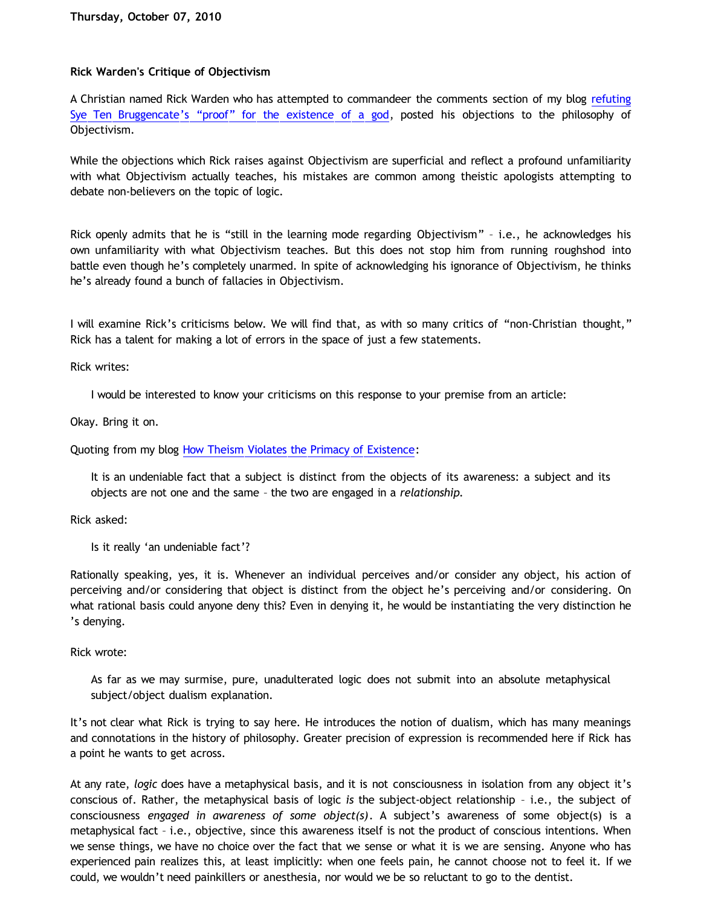## **Rick Warden's Critique of Objectivism**

A Christian named Rick Warden who has attempted to commandeer the comments section of my blog [refuting](http://bahnsenburner.blogspot.com/2010/08/critique-of-sye-ten-bruggencates.html) [Sye Ten Bruggencate's](http://bahnsenburner.blogspot.com/2010/08/critique-of-sye-ten-bruggencates.html) ["proof" for the existence of a god](http://bahnsenburner.blogspot.com/2010/08/critique-of-sye-ten-bruggencates.html), posted his objections to the philosophy of Objectivism.

While the objections which Rick raises against Objectivism are superficial and reflect a profound unfamiliarity with what Objectivism actually teaches, his mistakes are common among theistic apologists attempting to debate non-believers on the topic of logic.

Rick openly admits that he is "still in the learning mode regarding Objectivism" – i.e., he acknowledges his own unfamiliarity with what Objectivism teaches. But this does not stop him from running roughshod into battle even though he's completely unarmed. In spite of acknowledging his ignorance of Objectivism, he thinks he's already found a bunch of fallacies in Objectivism.

I will examine Rick's criticisms below. We will find that, as with so many critics of "non-Christian thought," Rick has a talent for making a lot of errors in the space of just a few statements.

Rick writes:

I would be interested to know your criticisms on this response to your premise from an article:

Okay. Bring it on.

Quoting from my blog [How Theism Violates the Primacy of Existence](http://bahnsenburner.blogspot.com/2010/02/how-theism-violates-primacy-of.html):

It is an undeniable fact that a subject is distinct from the objects of its awareness: a subject and its objects are not one and the same – the two are engaged in a *relationship.*

Rick asked:

Is it really 'an undeniable fact'?

Rationally speaking, yes, it is. Whenever an individual perceives and/or consider any object, his action of perceiving and/or considering that object is distinct from the object he's perceiving and/or considering. On what rational basis could anyone deny this? Even in denying it, he would be instantiating the very distinction he 's denying.

Rick wrote:

As far as we may surmise, pure, unadulterated logic does not submit into an absolute metaphysical subject/object dualism explanation.

It's not clear what Rick is trying to say here. He introduces the notion of dualism, which has many meanings and connotations in the history of philosophy. Greater precision of expression is recommended here if Rick has a point he wants to get across.

At any rate, *logic* does have a metaphysical basis, and it is not consciousness in isolation from any object it's conscious of. Rather, the metaphysical basis of logic *is* the subject-object relationship – i.e., the subject of consciousness *engaged in awareness of some object(s)*. A subject's awareness of some object(s) is a metaphysical fact – i.e., objective, since this awareness itself is not the product of conscious intentions. When we sense things, we have no choice over the fact that we sense or what it is we are sensing. Anyone who has experienced pain realizes this, at least implicitly: when one feels pain, he cannot choose not to feel it. If we could, we wouldn't need painkillers or anesthesia, nor would we be so reluctant to go to the dentist.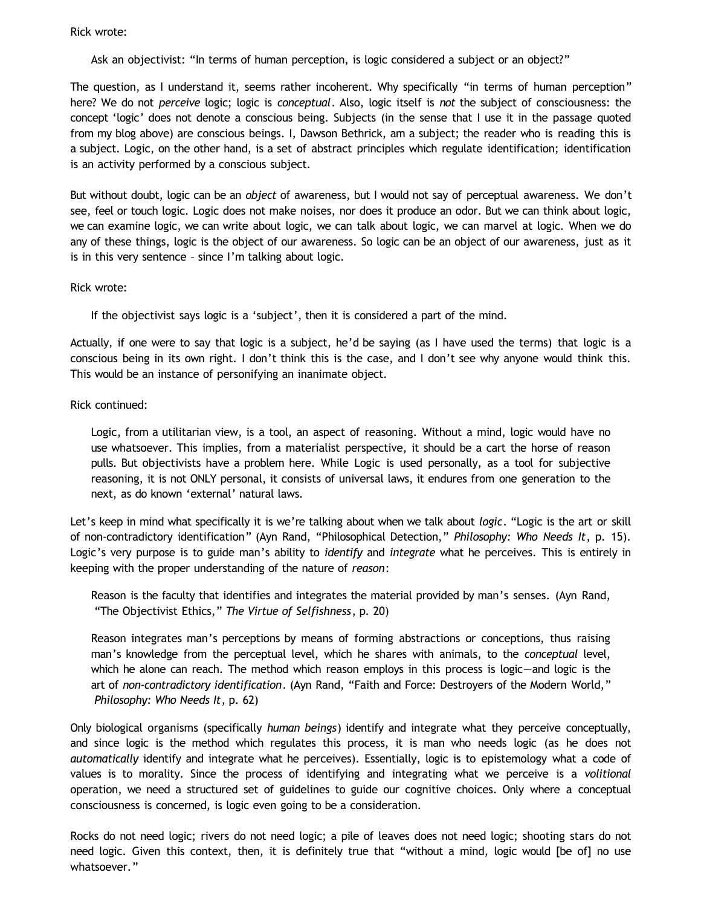## Rick wrote:

Ask an objectivist: "In terms of human perception, is logic considered a subject or an object?"

The question, as I understand it, seems rather incoherent. Why specifically "in terms of human perception" here? We do not *perceive* logic; logic is *conceptual*. Also, logic itself is *not* the subject of consciousness: the concept 'logic' does not denote a conscious being. Subjects (in the sense that I use it in the passage quoted from my blog above) are conscious beings. I, Dawson Bethrick, am a subject; the reader who is reading this is a subject. Logic, on the other hand, is a set of abstract principles which regulate identification; identification is an activity performed by a conscious subject.

But without doubt, logic can be an *object* of awareness, but I would not say of perceptual awareness. We don't see, feel or touch logic. Logic does not make noises, nor does it produce an odor. But we can think about logic, we can examine logic, we can write about logic, we can talk about logic, we can marvel at logic. When we do any of these things, logic is the object of our awareness. So logic can be an object of our awareness, just as it is in this very sentence – since I'm talking about logic.

Rick wrote:

If the objectivist says logic is a 'subject', then it is considered a part of the mind.

Actually, if one were to say that logic is a subject, he'd be saying (as I have used the terms) that logic is a conscious being in its own right. I don't think this is the case, and I don't see why anyone would think this. This would be an instance of personifying an inanimate object.

## Rick continued:

Logic, from a utilitarian view, is a tool, an aspect of reasoning. Without a mind, logic would have no use whatsoever. This implies, from a materialist perspective, it should be a cart the horse of reason pulls. But objectivists have a problem here. While Logic is used personally, as a tool for subjective reasoning, it is not ONLY personal, it consists of universal laws, it endures from one generation to the next, as do known 'external' natural laws.

Let's keep in mind what specifically it is we're talking about when we talk about *logic*. "Logic is the art or skill of non-contradictory identification" (Ayn Rand, "Philosophical Detection," *Philosophy: Who Needs It*, p. 15). Logic's very purpose is to guide man's ability to *identify* and *integrate* what he perceives. This is entirely in keeping with the proper understanding of the nature of *reason*:

Reason is the faculty that identifies and integrates the material provided by man's senses. (Ayn Rand, "The Objectivist Ethics," *The Virtue of Selfishness*, p. 20)

Reason integrates man's perceptions by means of forming abstractions or conceptions, thus raising man's knowledge from the perceptual level, which he shares with animals, to the *conceptual* level, which he alone can reach. The method which reason employs in this process is logic—and logic is the art of *non-contradictory identification*. (Ayn Rand, "Faith and Force: Destroyers of the Modern World," *Philosophy: Who Needs It*, p. 62)

Only biological organisms (specifically *human beings*) identify and integrate what they perceive conceptually, and since logic is the method which regulates this process, it is man who needs logic (as he does not *automatically* identify and integrate what he perceives). Essentially, logic is to epistemology what a code of values is to morality. Since the process of identifying and integrating what we perceive is a *volitional* operation, we need a structured set of guidelines to guide our cognitive choices. Only where a conceptual consciousness is concerned, is logic even going to be a consideration.

Rocks do not need logic; rivers do not need logic; a pile of leaves does not need logic; shooting stars do not need logic. Given this context, then, it is definitely true that "without a mind, logic would [be of] no use whatsoever."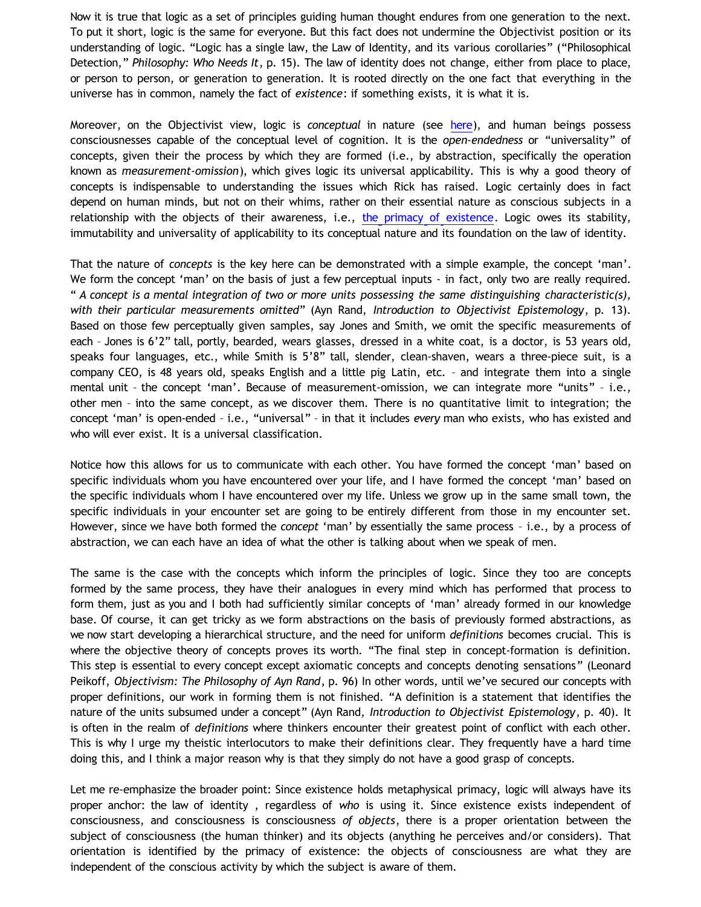Now it is true that logic as a set of principles guiding human thought endures from one generation to the next. To put it short, logic is the same for everyone. But this fact does not undermine the Objectivist position or its understanding of logic. "Logic has a single law, the Law of Identity, and its various corollaries" ("Philosophical Detection," *Philosophy: Who Needs It*, p. 15). The law of identity does not change, either from place to place, or person to person, or generation to generation. It is rooted directly on the one fact that everything in the universe has in common, namely the fact of *existence*: if something exists, it is what it is.

Moreover, on the Objectivist view, logic is *conceptual* in nature (see [here](http://bahnsenburner.blogspot.com/2009/07/does-logic-presuppose-christian-god_04.html)), and human beings possess consciousnesses capable of the conceptual level of cognition. It is the *open-endedness* or "universality" of concepts, given their the process by which they are formed (i.e., by abstraction, specifically the operation known as *measurement-omission*), which gives logic its universal applicability. This is why a good theory of concepts is indispensable to understanding the issues which Rick has raised. Logic certainly does in fact depend on human minds, but not on their whims, rather on their essential nature as conscious subjects in a relationship with the objects of their awareness, i.e., [the primacy of existence](http://bahnsenburner.blogspot.com/2006/12/axioms-and-primacy-of-existence.html). Logic owes its stability, immutability and universality of applicability to its conceptual nature and its foundation on the law of identity.

That the nature of *concepts* is the key here can be demonstrated with a simple example, the concept 'man'. We form the concept 'man' on the basis of just a few perceptual inputs - in fact, only two are really required. " *A concept is a mental integration of two or more units possessing the same distinguishing characteristic(s), with their particular measurements omitted*" (Ayn Rand, *Introduction to Objectivist Epistemology*, p. 13). Based on those few perceptually given samples, say Jones and Smith, we omit the specific measurements of each – Jones is 6'2" tall, portly, bearded, wears glasses, dressed in a white coat, is a doctor, is 53 years old, speaks four languages, etc., while Smith is 5'8" tall, slender, clean-shaven, wears a three-piece suit, is a company CEO, is 48 years old, speaks English and a little pig Latin, etc. – and integrate them into a single mental unit – the concept 'man'. Because of measurement-omission, we can integrate more "units" – i.e., other men – into the same concept, as we discover them. There is no quantitative limit to integration; the concept 'man' is open-ended – i.e., "universal" – in that it includes *every* man who exists, who has existed and who will ever exist. It is a universal classification.

Notice how this allows for us to communicate with each other. You have formed the concept 'man' based on specific individuals whom you have encountered over your life, and I have formed the concept 'man' based on the specific individuals whom I have encountered over my life. Unless we grow up in the same small town, the specific individuals in your encounter set are going to be entirely different from those in my encounter set. However, since we have both formed the *concept* 'man' by essentially the same process – i.e., by a process of abstraction, we can each have an idea of what the other is talking about when we speak of men.

The same is the case with the concepts which inform the principles of logic. Since they too are concepts formed by the same process, they have their analogues in every mind which has performed that process to form them, just as you and I both had sufficiently similar concepts of 'man' already formed in our knowledge base. Of course, it can get tricky as we form abstractions on the basis of previously formed abstractions, as we now start developing a hierarchical structure, and the need for uniform *definitions* becomes crucial. This is where the objective theory of concepts proves its worth. "The final step in concept-formation is definition. This step is essential to every concept except axiomatic concepts and concepts denoting sensations" (Leonard Peikoff, *Objectivism: The Philosophy of Ayn Rand*, p. 96) In other words, until we've secured our concepts with proper definitions, our work in forming them is not finished. "A definition is a statement that identifies the nature of the units subsumed under a concept" (Ayn Rand, *Introduction to Objectivist Epistemology*, p. 40). It is often in the realm of *definitions* where thinkers encounter their greatest point of conflict with each other. This is why I urge my theistic interlocutors to make their definitions clear. They frequently have a hard time doing this, and I think a major reason why is that they simply do not have a good grasp of concepts.

Let me re-emphasize the broader point: Since existence holds metaphysical primacy, logic will always have its proper anchor: the law of identity , regardless of *who* is using it. Since existence exists independent of consciousness, and consciousness is consciousness *of objects*, there is a proper orientation between the subject of consciousness (the human thinker) and its objects (anything he perceives and/or considers). That orientation is identified by the primacy of existence: the objects of consciousness are what they are independent of the conscious activity by which the subject is aware of them.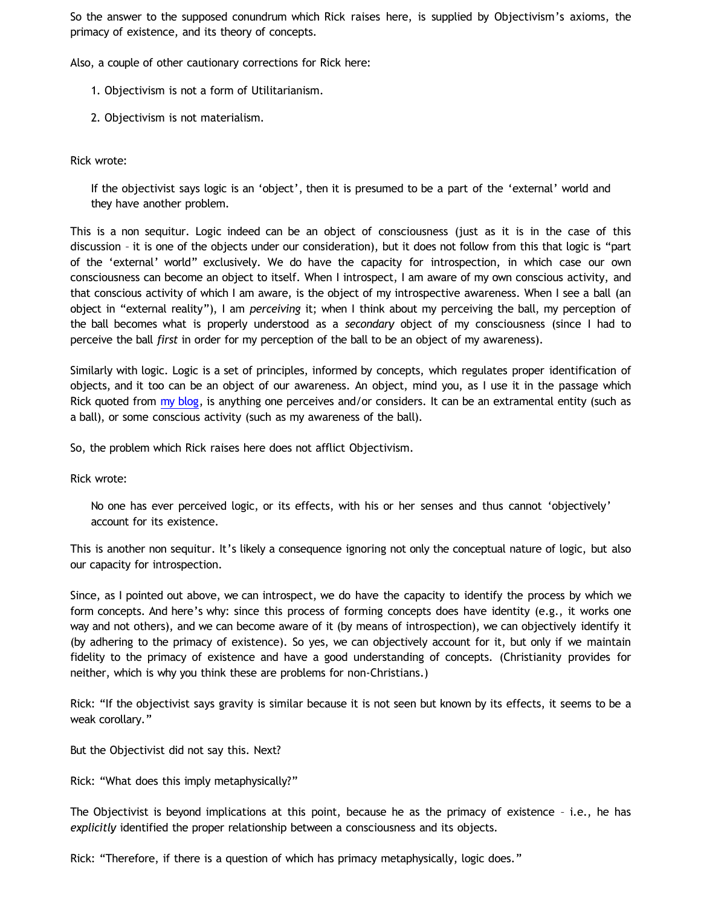So the answer to the supposed conundrum which Rick raises here, is supplied by Objectivism's axioms, the primacy of existence, and its theory of concepts.

Also, a couple of other cautionary corrections for Rick here:

- 1. Objectivism is not a form of Utilitarianism.
- 2. Objectivism is not materialism.

Rick wrote:

If the objectivist says logic is an 'object', then it is presumed to be a part of the 'external' world and they have another problem.

This is a non sequitur. Logic indeed can be an object of consciousness (just as it is in the case of this discussion – it is one of the objects under our consideration), but it does not follow from this that logic is "part of the 'external' world" exclusively. We do have the capacity for introspection, in which case our own consciousness can become an object to itself. When I introspect, I am aware of my own conscious activity, and that conscious activity of which I am aware, is the object of my introspective awareness. When I see a ball (an object in "external reality"), I am *perceiving* it; when I think about my perceiving the ball, my perception of the ball becomes what is properly understood as a *secondary* object of my consciousness (since I had to perceive the ball *first* in order for my perception of the ball to be an object of my awareness).

Similarly with logic. Logic is a set of principles, informed by concepts, which regulates proper identification of objects, and it too can be an object of our awareness. An object, mind you, as I use it in the passage which Rick quoted from [my blog](http://bahnsenburner.blogspot.com/2010/02/how-theism-violates-primacy-of.html), is anything one perceives and/or considers. It can be an extramental entity (such as a ball), or some conscious activity (such as my awareness of the ball).

So, the problem which Rick raises here does not afflict Objectivism.

Rick wrote:

No one has ever perceived logic, or its effects, with his or her senses and thus cannot 'objectively' account for its existence.

This is another non sequitur. It's likely a consequence ignoring not only the conceptual nature of logic, but also our capacity for introspection.

Since, as I pointed out above, we can introspect, we do have the capacity to identify the process by which we form concepts. And here's why: since this process of forming concepts does have identity (e.g., it works one way and not others), and we can become aware of it (by means of introspection), we can objectively identify it (by adhering to the primacy of existence). So yes, we can objectively account for it, but only if we maintain fidelity to the primacy of existence and have a good understanding of concepts. (Christianity provides for neither, which is why you think these are problems for non-Christians.)

Rick: "If the objectivist says gravity is similar because it is not seen but known by its effects, it seems to be a weak corollary."

But the Objectivist did not say this. Next?

Rick: "What does this imply metaphysically?"

The Objectivist is beyond implications at this point, because he as the primacy of existence – i.e., he has *explicitly* identified the proper relationship between a consciousness and its objects.

Rick: "Therefore, if there is a question of which has primacy metaphysically, logic does."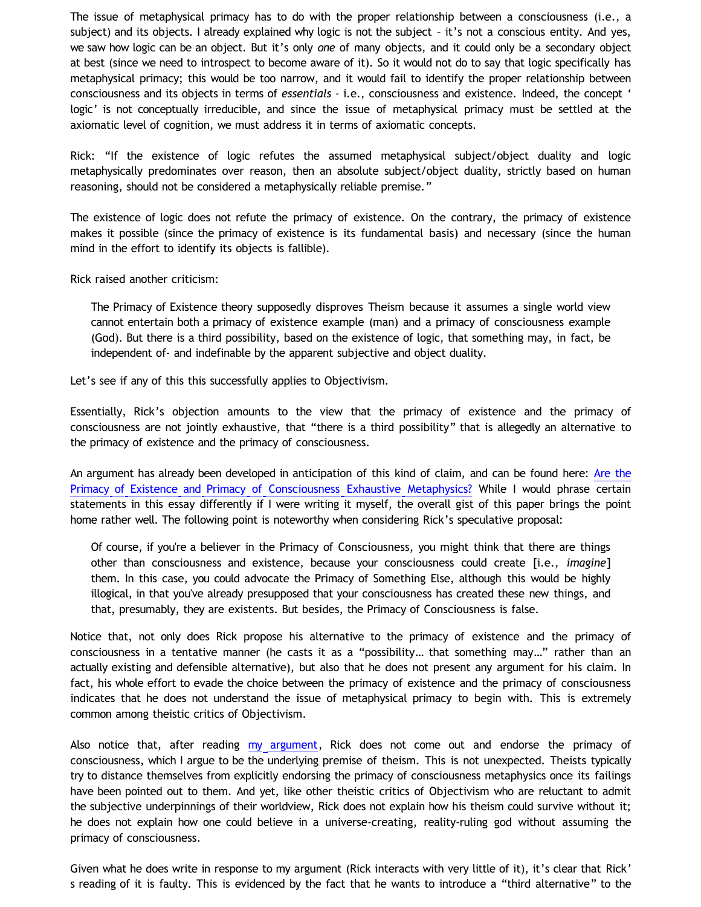The issue of metaphysical primacy has to do with the proper relationship between a consciousness (i.e., a subject) and its objects. I already explained why logic is not the subject – it's not a conscious entity. And yes, we saw how logic can be an object. But it's only *one* of many objects, and it could only be a secondary object at best (since we need to introspect to become aware of it). So it would not do to say that logic specifically has metaphysical primacy; this would be too narrow, and it would fail to identify the proper relationship between consciousness and its objects in terms of *essentials* - i.e., consciousness and existence. Indeed, the concept ' logic' is not conceptually irreducible, and since the issue of metaphysical primacy must be settled at the axiomatic level of cognition, we must address it in terms of axiomatic concepts.

Rick: "If the existence of logic refutes the assumed metaphysical subject/object duality and logic metaphysically predominates over reason, then an absolute subject/object duality, strictly based on human reasoning, should not be considered a metaphysically reliable premise."

The existence of logic does not refute the primacy of existence. On the contrary, the primacy of existence makes it possible (since the primacy of existence is its fundamental basis) and necessary (since the human mind in the effort to identify its objects is fallible).

Rick raised another criticism:

The Primacy of Existence theory supposedly disproves Theism because it assumes a single world view cannot entertain both a primacy of existence example (man) and a primacy of consciousness example (God). But there is a third possibility, based on the existence of logic, that something may, in fact, be independent of- and indefinable by the apparent subjective and object duality.

Let's see if any of this this successfully applies to Objectivism.

Essentially, Rick's objection amounts to the view that the primacy of existence and the primacy of consciousness are not jointly exhaustive, that "there is a third possibility" that is allegedly an alternative to the primacy of existence and the primacy of consciousness.

An argument has already been developed in anticipation of this kind of claim, and can be found here: [Are the](http://www.lawrence.edu/sorg/objectivism/poe.html) [Primacy of Existence and Primacy of Consciousness Exhaustive Metaphysics?](http://www.lawrence.edu/sorg/objectivism/poe.html) While I would phrase certain statements in this essay differently if I were writing it myself, the overall gist of this paper brings the point home rather well. The following point is noteworthy when considering Rick's speculative proposal:

Of course, if you're a believer in the Primacy of Consciousness, you might think that there are things other than consciousness and existence, because your consciousness could create [i.e., *imagine*] them. In this case, you could advocate the Primacy of Something Else, although this would be highly illogical, in that you've already presupposed that your consciousness has created these new things, and that, presumably, they are existents. But besides, the Primacy of Consciousness is false.

Notice that, not only does Rick propose his alternative to the primacy of existence and the primacy of consciousness in a tentative manner (he casts it as a "possibility… that something may…" rather than an actually existing and defensible alternative), but also that he does not present any argument for his claim. In fact, his whole effort to evade the choice between the primacy of existence and the primacy of consciousness indicates that he does not understand the issue of metaphysical primacy to begin with. This is extremely common among theistic critics of Objectivism.

Also notice that, after reading [my argument](http://bahnsenburner.blogspot.com/2010/02/how-theism-violates-primacy-of.html), Rick does not come out and endorse the primacy of consciousness, which I argue to be the underlying premise of theism. This is not unexpected. Theists typically try to distance themselves from explicitly endorsing the primacy of consciousness metaphysics once its failings have been pointed out to them. And yet, like other theistic critics of Objectivism who are reluctant to admit the subjective underpinnings of their worldview, Rick does not explain how his theism could survive without it; he does not explain how one could believe in a universe-creating, reality-ruling god without assuming the primacy of consciousness.

Given what he does write in response to my argument (Rick interacts with very little of it), it's clear that Rick' s reading of it is faulty. This is evidenced by the fact that he wants to introduce a "third alternative" to the